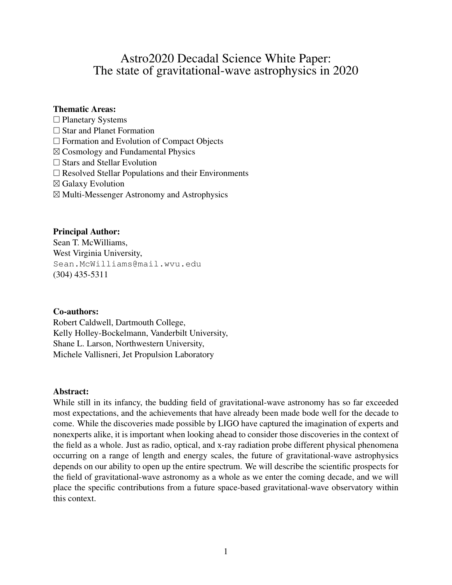## Astro2020 Decadal Science White Paper: The state of gravitational-wave astrophysics in 2020

### Thematic Areas:

- $\Box$  Planetary Systems
- □ Star and Planet Formation
- $\Box$  Formation and Evolution of Compact Objects
- ⊠ Cosmology and Fundamental Physics
- $\square$  Stars and Stellar Evolution
- $\square$  Resolved Stellar Populations and their Environments
- ⊠ Galaxy Evolution
- ⊠ Multi-Messenger Astronomy and Astrophysics

### Principal Author:

Sean T. McWilliams, West Virginia University, Sean.McWilliams@mail.wvu.edu (304) 435-5311

### Co-authors:

Robert Caldwell, Dartmouth College, Kelly Holley-Bockelmann, Vanderbilt University, Shane L. Larson, Northwestern University, Michele Vallisneri, Jet Propulsion Laboratory

#### Abstract:

While still in its infancy, the budding field of gravitational-wave astronomy has so far exceeded most expectations, and the achievements that have already been made bode well for the decade to come. While the discoveries made possible by LIGO have captured the imagination of experts and nonexperts alike, it is important when looking ahead to consider those discoveries in the context of the field as a whole. Just as radio, optical, and x-ray radiation probe different physical phenomena occurring on a range of length and energy scales, the future of gravitational-wave astrophysics depends on our ability to open up the entire spectrum. We will describe the scientific prospects for the field of gravitational-wave astronomy as a whole as we enter the coming decade, and we will place the specific contributions from a future space-based gravitational-wave observatory within this context.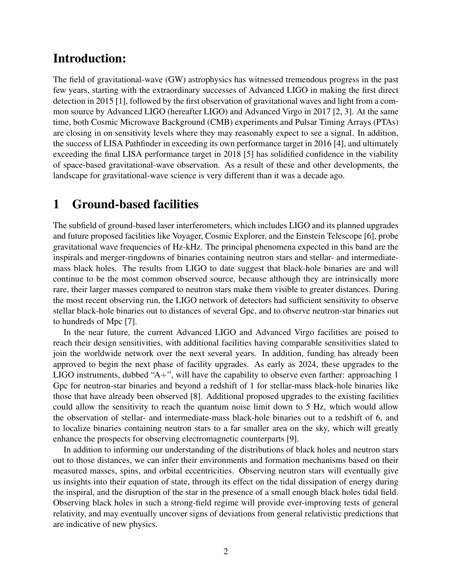## Introduction:

The field of gravitational-wave (GW) astrophysics has witnessed tremendous progress in the past few years, starting with the extraordinary successes of Advanced LIGO in making the first direct detection in 2015 [1], followed by the first observation of gravitational waves and light from a common source by Advanced LIGO (hereafter LIGO) and Advanced Virgo in 2017 [2, 3]. At the same time, both Cosmic Microwave Background (CMB) experiments and Pulsar Timing Arrays (PTAs) are closing in on sensitivity levels where they may reasonably expect to see a signal. In addition, the success of LISA Pathfinder in exceeding its own performance target in 2016 [4], and ultimately exceeding the final LISA performance target in 2018 [5] has solidified confidence in the viability of space-based gravitational-wave observation. As a result of these and other developments, the landscape for gravitational-wave science is very different than it was a decade ago.

# 1 Ground-based facilities

The subfield of ground-based laser interferometers, which includes LIGO and its planned upgrades and future proposed facilities like Voyager, Cosmic Explorer, and the Einstein Telescope [6], probe gravitational wave frequencies of Hz-kHz. The principal phenomena expected in this band are the inspirals and merger-ringdowns of binaries containing neutron stars and stellar- and intermediatemass black holes. The results from LIGO to date suggest that black-hole binaries are and will continue to be the most common observed source, because although they are intrinsically more rare, their larger masses compared to neutron stars make them visible to greater distances. During the most recent observing run, the LIGO network of detectors had sufficient sensitivity to observe stellar black-hole binaries out to distances of several Gpc, and to observe neutron-star binaries out to hundreds of Mpc [7].

In the near future, the current Advanced LIGO and Advanced Virgo facilities are poised to reach their design sensitivities, with additional facilities having comparable sensitivities slated to join the worldwide network over the next several years. In addition, funding has already been approved to begin the next phase of facility upgrades. As early as 2024, these upgrades to the LIGO instruments, dubbed "A+", will have the capability to observe even farther: approaching 1 Gpc for neutron-star binaries and beyond a redshift of 1 for stellar-mass black-hole binaries like those that have already been observed [8]. Additional proposed upgrades to the existing facilities could allow the sensitivity to reach the quantum noise limit down to 5 Hz, which would allow the observation of stellar- and intermediate-mass black-hole binaries out to a redshift of 6, and to localize binaries containing neutron stars to a far smaller area on the sky, which will greatly enhance the prospects for observing electromagnetic counterparts [9].

In addition to informing our understanding of the distributions of black holes and neutron stars out to those distances, we can infer their environments and formation mechanisms based on their measured masses, spins, and orbital eccentricities. Observing neutron stars will eventually give us insights into their equation of state, through its effect on the tidal dissipation of energy during the inspiral, and the disruption of the star in the presence of a small enough black holes tidal field. Observing black holes in such a strong-field regime will provide ever-improving tests of general relativity, and may eventually uncover signs of deviations from general relativistic predictions that are indicative of new physics.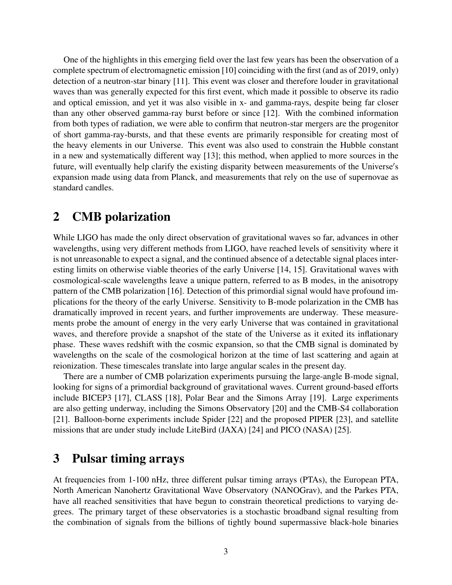One of the highlights in this emerging field over the last few years has been the observation of a complete spectrum of electromagnetic emission [10] coinciding with the first (and as of 2019, only) detection of a neutron-star binary [11]. This event was closer and therefore louder in gravitational waves than was generally expected for this first event, which made it possible to observe its radio and optical emission, and yet it was also visible in x- and gamma-rays, despite being far closer than any other observed gamma-ray burst before or since [12]. With the combined information from both types of radiation, we were able to confirm that neutron-star mergers are the progenitor of short gamma-ray-bursts, and that these events are primarily responsible for creating most of the heavy elements in our Universe. This event was also used to constrain the Hubble constant in a new and systematically different way [13]; this method, when applied to more sources in the future, will eventually help clarify the existing disparity between measurements of the Universe's expansion made using data from Planck, and measurements that rely on the use of supernovae as standard candles.

## 2 CMB polarization

While LIGO has made the only direct observation of gravitational waves so far, advances in other wavelengths, using very different methods from LIGO, have reached levels of sensitivity where it is not unreasonable to expect a signal, and the continued absence of a detectable signal places interesting limits on otherwise viable theories of the early Universe [14, 15]. Gravitational waves with cosmological-scale wavelengths leave a unique pattern, referred to as B modes, in the anisotropy pattern of the CMB polarization [16]. Detection of this primordial signal would have profound implications for the theory of the early Universe. Sensitivity to B-mode polarization in the CMB has dramatically improved in recent years, and further improvements are underway. These measurements probe the amount of energy in the very early Universe that was contained in gravitational waves, and therefore provide a snapshot of the state of the Universe as it exited its inflationary phase. These waves redshift with the cosmic expansion, so that the CMB signal is dominated by wavelengths on the scale of the cosmological horizon at the time of last scattering and again at reionization. These timescales translate into large angular scales in the present day.

There are a number of CMB polarization experiments pursuing the large-angle B-mode signal, looking for signs of a primordial background of gravitational waves. Current ground-based efforts include BICEP3 [17], CLASS [18], Polar Bear and the Simons Array [19]. Large experiments are also getting underway, including the Simons Observatory [20] and the CMB-S4 collaboration [21]. Balloon-borne experiments include Spider [22] and the proposed PIPER [23], and satellite missions that are under study include LiteBird (JAXA) [24] and PICO (NASA) [25].

## 3 Pulsar timing arrays

At frequencies from 1-100 nHz, three different pulsar timing arrays (PTAs), the European PTA, North American Nanohertz Gravitational Wave Observatory (NANOGrav), and the Parkes PTA, have all reached sensitivities that have begun to constrain theoretical predictions to varying degrees. The primary target of these observatories is a stochastic broadband signal resulting from the combination of signals from the billions of tightly bound supermassive black-hole binaries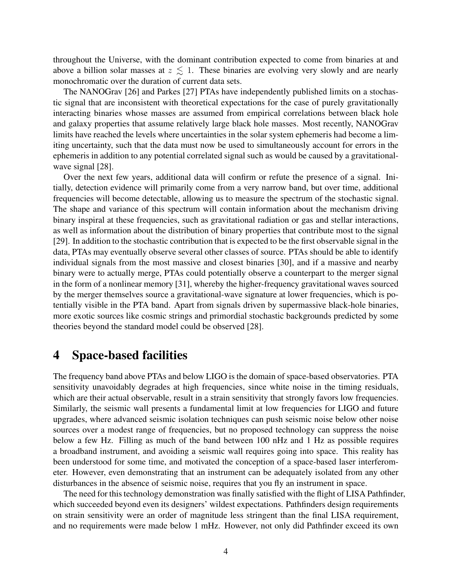throughout the Universe, with the dominant contribution expected to come from binaries at and above a billion solar masses at  $z \leq 1$ . These binaries are evolving very slowly and are nearly monochromatic over the duration of current data sets.

The NANOGrav [26] and Parkes [27] PTAs have independently published limits on a stochastic signal that are inconsistent with theoretical expectations for the case of purely gravitationally interacting binaries whose masses are assumed from empirical correlations between black hole and galaxy properties that assume relatively large black hole masses. Most recently, NANOGrav limits have reached the levels where uncertainties in the solar system ephemeris had become a limiting uncertainty, such that the data must now be used to simultaneously account for errors in the ephemeris in addition to any potential correlated signal such as would be caused by a gravitationalwave signal [28].

Over the next few years, additional data will confirm or refute the presence of a signal. Initially, detection evidence will primarily come from a very narrow band, but over time, additional frequencies will become detectable, allowing us to measure the spectrum of the stochastic signal. The shape and variance of this spectrum will contain information about the mechanism driving binary inspiral at these frequencies, such as gravitational radiation or gas and stellar interactions, as well as information about the distribution of binary properties that contribute most to the signal [29]. In addition to the stochastic contribution that is expected to be the first observable signal in the data, PTAs may eventually observe several other classes of source. PTAs should be able to identify individual signals from the most massive and closest binaries [30], and if a massive and nearby binary were to actually merge, PTAs could potentially observe a counterpart to the merger signal in the form of a nonlinear memory [31], whereby the higher-frequency gravitational waves sourced by the merger themselves source a gravitational-wave signature at lower frequencies, which is potentially visible in the PTA band. Apart from signals driven by supermassive black-hole binaries, more exotic sources like cosmic strings and primordial stochastic backgrounds predicted by some theories beyond the standard model could be observed [28].

## 4 Space-based facilities

The frequency band above PTAs and below LIGO is the domain of space-based observatories. PTA sensitivity unavoidably degrades at high frequencies, since white noise in the timing residuals, which are their actual observable, result in a strain sensitivity that strongly favors low frequencies. Similarly, the seismic wall presents a fundamental limit at low frequencies for LIGO and future upgrades, where advanced seismic isolation techniques can push seismic noise below other noise sources over a modest range of frequencies, but no proposed technology can suppress the noise below a few Hz. Filling as much of the band between 100 nHz and 1 Hz as possible requires a broadband instrument, and avoiding a seismic wall requires going into space. This reality has been understood for some time, and motivated the conception of a space-based laser interferometer. However, even demonstrating that an instrument can be adequately isolated from any other disturbances in the absence of seismic noise, requires that you fly an instrument in space.

The need for this technology demonstration was finally satisfied with the flight of LISA Pathfinder, which succeeded beyond even its designers' wildest expectations. Pathfinders design requirements on strain sensitivity were an order of magnitude less stringent than the final LISA requirement, and no requirements were made below 1 mHz. However, not only did Pathfinder exceed its own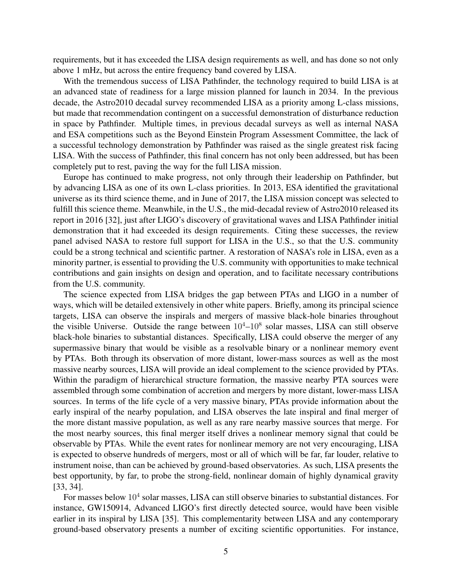requirements, but it has exceeded the LISA design requirements as well, and has done so not only above 1 mHz, but across the entire frequency band covered by LISA.

With the tremendous success of LISA Pathfinder, the technology required to build LISA is at an advanced state of readiness for a large mission planned for launch in 2034. In the previous decade, the Astro2010 decadal survey recommended LISA as a priority among L-class missions, but made that recommendation contingent on a successful demonstration of disturbance reduction in space by Pathfinder. Multiple times, in previous decadal surveys as well as internal NASA and ESA competitions such as the Beyond Einstein Program Assessment Committee, the lack of a successful technology demonstration by Pathfinder was raised as the single greatest risk facing LISA. With the success of Pathfinder, this final concern has not only been addressed, but has been completely put to rest, paving the way for the full LISA mission.

Europe has continued to make progress, not only through their leadership on Pathfinder, but by advancing LISA as one of its own L-class priorities. In 2013, ESA identified the gravitational universe as its third science theme, and in June of 2017, the LISA mission concept was selected to fulfill this science theme. Meanwhile, in the U.S., the mid-decadal review of Astro2010 released its report in 2016 [32], just after LIGO's discovery of gravitational waves and LISA Pathfinder initial demonstration that it had exceeded its design requirements. Citing these successes, the review panel advised NASA to restore full support for LISA in the U.S., so that the U.S. community could be a strong technical and scientific partner. A restoration of NASA's role in LISA, even as a minority partner, is essential to providing the U.S. community with opportunities to make technical contributions and gain insights on design and operation, and to facilitate necessary contributions from the U.S. community.

The science expected from LISA bridges the gap between PTAs and LIGO in a number of ways, which will be detailed extensively in other white papers. Briefly, among its principal science targets, LISA can observe the inspirals and mergers of massive black-hole binaries throughout the visible Universe. Outside the range between  $10^4 - 10^8$  solar masses, LISA can still observe black-hole binaries to substantial distances. Specifically, LISA could observe the merger of any supermassive binary that would be visible as a resolvable binary or a nonlinear memory event by PTAs. Both through its observation of more distant, lower-mass sources as well as the most massive nearby sources, LISA will provide an ideal complement to the science provided by PTAs. Within the paradigm of hierarchical structure formation, the massive nearby PTA sources were assembled through some combination of accretion and mergers by more distant, lower-mass LISA sources. In terms of the life cycle of a very massive binary, PTAs provide information about the early inspiral of the nearby population, and LISA observes the late inspiral and final merger of the more distant massive population, as well as any rare nearby massive sources that merge. For the most nearby sources, this final merger itself drives a nonlinear memory signal that could be observable by PTAs. While the event rates for nonlinear memory are not very encouraging, LISA is expected to observe hundreds of mergers, most or all of which will be far, far louder, relative to instrument noise, than can be achieved by ground-based observatories. As such, LISA presents the best opportunity, by far, to probe the strong-field, nonlinear domain of highly dynamical gravity [33, 34].

For masses below  $10^4$  solar masses, LISA can still observe binaries to substantial distances. For instance, GW150914, Advanced LIGO's first directly detected source, would have been visible earlier in its inspiral by LISA [35]. This complementarity between LISA and any contemporary ground-based observatory presents a number of exciting scientific opportunities. For instance,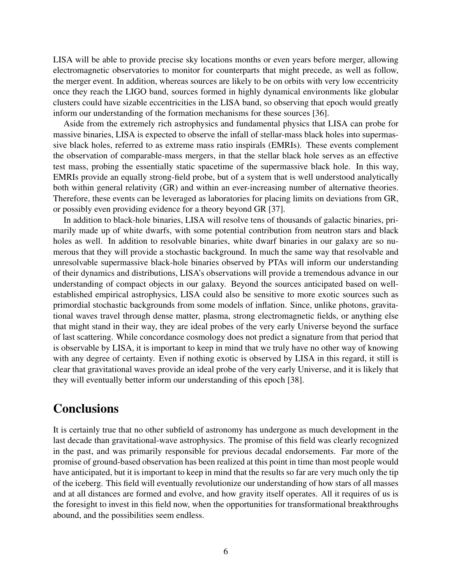LISA will be able to provide precise sky locations months or even years before merger, allowing electromagnetic observatories to monitor for counterparts that might precede, as well as follow, the merger event. In addition, whereas sources are likely to be on orbits with very low eccentricity once they reach the LIGO band, sources formed in highly dynamical environments like globular clusters could have sizable eccentricities in the LISA band, so observing that epoch would greatly inform our understanding of the formation mechanisms for these sources [36].

Aside from the extremely rich astrophysics and fundamental physics that LISA can probe for massive binaries, LISA is expected to observe the infall of stellar-mass black holes into supermassive black holes, referred to as extreme mass ratio inspirals (EMRIs). These events complement the observation of comparable-mass mergers, in that the stellar black hole serves as an effective test mass, probing the essentially static spacetime of the supermassive black hole. In this way, EMRIs provide an equally strong-field probe, but of a system that is well understood analytically both within general relativity (GR) and within an ever-increasing number of alternative theories. Therefore, these events can be leveraged as laboratories for placing limits on deviations from GR, or possibly even providing evidence for a theory beyond GR [37].

In addition to black-hole binaries, LISA will resolve tens of thousands of galactic binaries, primarily made up of white dwarfs, with some potential contribution from neutron stars and black holes as well. In addition to resolvable binaries, white dwarf binaries in our galaxy are so numerous that they will provide a stochastic background. In much the same way that resolvable and unresolvable supermassive black-hole binaries observed by PTAs will inform our understanding of their dynamics and distributions, LISA's observations will provide a tremendous advance in our understanding of compact objects in our galaxy. Beyond the sources anticipated based on wellestablished empirical astrophysics, LISA could also be sensitive to more exotic sources such as primordial stochastic backgrounds from some models of inflation. Since, unlike photons, gravitational waves travel through dense matter, plasma, strong electromagnetic fields, or anything else that might stand in their way, they are ideal probes of the very early Universe beyond the surface of last scattering. While concordance cosmology does not predict a signature from that period that is observable by LISA, it is important to keep in mind that we truly have no other way of knowing with any degree of certainty. Even if nothing exotic is observed by LISA in this regard, it still is clear that gravitational waves provide an ideal probe of the very early Universe, and it is likely that they will eventually better inform our understanding of this epoch [38].

## **Conclusions**

It is certainly true that no other subfield of astronomy has undergone as much development in the last decade than gravitational-wave astrophysics. The promise of this field was clearly recognized in the past, and was primarily responsible for previous decadal endorsements. Far more of the promise of ground-based observation has been realized at this point in time than most people would have anticipated, but it is important to keep in mind that the results so far are very much only the tip of the iceberg. This field will eventually revolutionize our understanding of how stars of all masses and at all distances are formed and evolve, and how gravity itself operates. All it requires of us is the foresight to invest in this field now, when the opportunities for transformational breakthroughs abound, and the possibilities seem endless.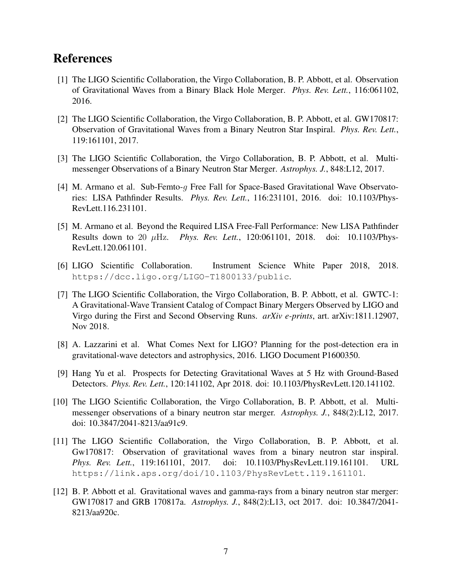## References

- [1] The LIGO Scientific Collaboration, the Virgo Collaboration, B. P. Abbott, et al. Observation of Gravitational Waves from a Binary Black Hole Merger. *Phys. Rev. Lett.*, 116:061102, 2016.
- [2] The LIGO Scientific Collaboration, the Virgo Collaboration, B. P. Abbott, et al. GW170817: Observation of Gravitational Waves from a Binary Neutron Star Inspiral. *Phys. Rev. Lett.*, 119:161101, 2017.
- [3] The LIGO Scientific Collaboration, the Virgo Collaboration, B. P. Abbott, et al. Multimessenger Observations of a Binary Neutron Star Merger. *Astrophys. J.*, 848:L12, 2017.
- [4] M. Armano et al. Sub-Femto-g Free Fall for Space-Based Gravitational Wave Observatories: LISA Pathfinder Results. *Phys. Rev. Lett.*, 116:231101, 2016. doi: 10.1103/Phys-RevLett.116.231101.
- [5] M. Armano et al. Beyond the Required LISA Free-Fall Performance: New LISA Pathfinder Results down to 20 µHz. *Phys. Rev. Lett.*, 120:061101, 2018. doi: 10.1103/Phys-RevLett.120.061101.
- [6] LIGO Scientific Collaboration. Instrument Science White Paper 2018, 2018. https://dcc.ligo.org/LIGO-T1800133/public.
- [7] The LIGO Scientific Collaboration, the Virgo Collaboration, B. P. Abbott, et al. GWTC-1: A Gravitational-Wave Transient Catalog of Compact Binary Mergers Observed by LIGO and Virgo during the First and Second Observing Runs. *arXiv e-prints*, art. arXiv:1811.12907, Nov 2018.
- [8] A. Lazzarini et al. What Comes Next for LIGO? Planning for the post-detection era in gravitational-wave detectors and astrophysics, 2016. LIGO Document P1600350.
- [9] Hang Yu et al. Prospects for Detecting Gravitational Waves at 5 Hz with Ground-Based Detectors. *Phys. Rev. Lett.*, 120:141102, Apr 2018. doi: 10.1103/PhysRevLett.120.141102.
- [10] The LIGO Scientific Collaboration, the Virgo Collaboration, B. P. Abbott, et al. Multimessenger observations of a binary neutron star merger. *Astrophys. J.*, 848(2):L12, 2017. doi: 10.3847/2041-8213/aa91c9.
- [11] The LIGO Scientific Collaboration, the Virgo Collaboration, B. P. Abbott, et al. Gw170817: Observation of gravitational waves from a binary neutron star inspiral. *Phys. Rev. Lett.*, 119:161101, 2017. doi: 10.1103/PhysRevLett.119.161101. URL https://link.aps.org/doi/10.1103/PhysRevLett.119.161101.
- [12] B. P. Abbott et al. Gravitational waves and gamma-rays from a binary neutron star merger: GW170817 and GRB 170817a. *Astrophys. J.*, 848(2):L13, oct 2017. doi: 10.3847/2041- 8213/aa920c.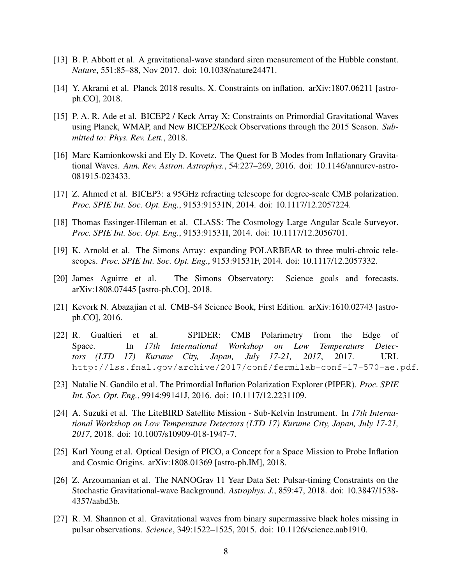- [13] B. P. Abbott et al. A gravitational-wave standard siren measurement of the Hubble constant. *Nature*, 551:85–88, Nov 2017. doi: 10.1038/nature24471.
- [14] Y. Akrami et al. Planck 2018 results. X. Constraints on inflation. arXiv:1807.06211 [astroph.CO], 2018.
- [15] P. A. R. Ade et al. BICEP2 / Keck Array X: Constraints on Primordial Gravitational Waves using Planck, WMAP, and New BICEP2/Keck Observations through the 2015 Season. *Submitted to: Phys. Rev. Lett.*, 2018.
- [16] Marc Kamionkowski and Ely D. Kovetz. The Quest for B Modes from Inflationary Gravitational Waves. *Ann. Rev. Astron. Astrophys.*, 54:227–269, 2016. doi: 10.1146/annurev-astro-081915-023433.
- [17] Z. Ahmed et al. BICEP3: a 95GHz refracting telescope for degree-scale CMB polarization. *Proc. SPIE Int. Soc. Opt. Eng.*, 9153:91531N, 2014. doi: 10.1117/12.2057224.
- [18] Thomas Essinger-Hileman et al. CLASS: The Cosmology Large Angular Scale Surveyor. *Proc. SPIE Int. Soc. Opt. Eng.*, 9153:91531I, 2014. doi: 10.1117/12.2056701.
- [19] K. Arnold et al. The Simons Array: expanding POLARBEAR to three multi-chroic telescopes. *Proc. SPIE Int. Soc. Opt. Eng.*, 9153:91531F, 2014. doi: 10.1117/12.2057332.
- [20] James Aguirre et al. The Simons Observatory: Science goals and forecasts. arXiv:1808.07445 [astro-ph.CO], 2018.
- [21] Kevork N. Abazajian et al. CMB-S4 Science Book, First Edition. arXiv:1610.02743 [astroph.CO], 2016.
- [22] R. Gualtieri et al. SPIDER: CMB Polarimetry from the Edge of Space. In *17th International Workshop on Low Temperature Detectors (LTD 17) Kurume City, Japan, July 17-21, 2017*, 2017. URL http://lss.fnal.gov/archive/2017/conf/fermilab-conf-17-570-ae.pdf.
- [23] Natalie N. Gandilo et al. The Primordial Inflation Polarization Explorer (PIPER). *Proc. SPIE Int. Soc. Opt. Eng.*, 9914:99141J, 2016. doi: 10.1117/12.2231109.
- [24] A. Suzuki et al. The LiteBIRD Satellite Mission Sub-Kelvin Instrument. In *17th International Workshop on Low Temperature Detectors (LTD 17) Kurume City, Japan, July 17-21, 2017*, 2018. doi: 10.1007/s10909-018-1947-7.
- [25] Karl Young et al. Optical Design of PICO, a Concept for a Space Mission to Probe Inflation and Cosmic Origins. arXiv:1808.01369 [astro-ph.IM], 2018.
- [26] Z. Arzoumanian et al. The NANOGrav 11 Year Data Set: Pulsar-timing Constraints on the Stochastic Gravitational-wave Background. *Astrophys. J.*, 859:47, 2018. doi: 10.3847/1538- 4357/aabd3b.
- [27] R. M. Shannon et al. Gravitational waves from binary supermassive black holes missing in pulsar observations. *Science*, 349:1522–1525, 2015. doi: 10.1126/science.aab1910.